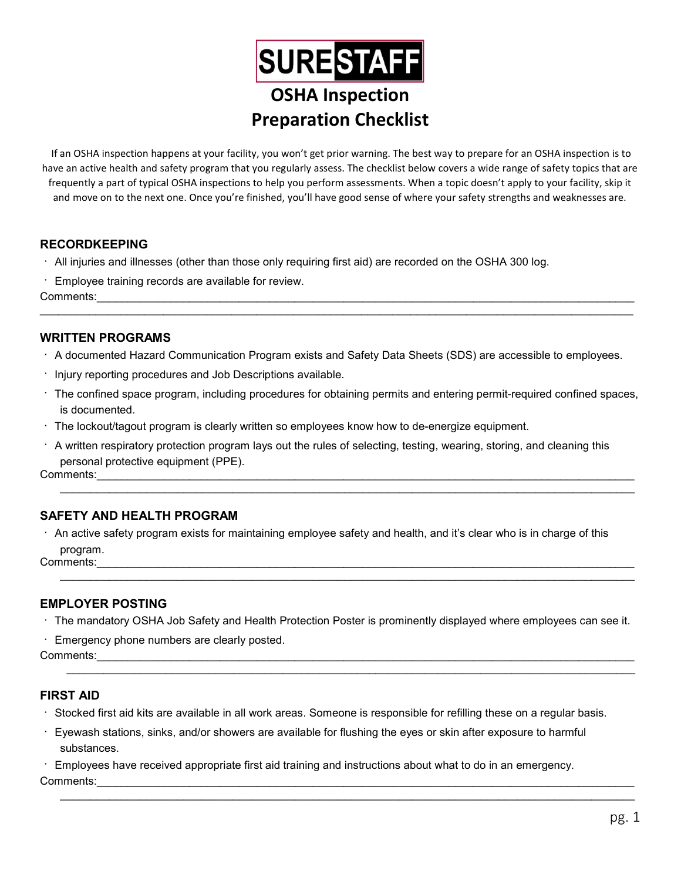# **SURESTAFF** OSHA Inspection Preparation Checklist

If an OSHA inspection happens at your facility, you won't get prior warning. The best way to prepare for an OSHA inspection is to have an active health and safety program that you regularly assess. The checklist below covers a wide range of safety topics that are frequently a part of typical OSHA inspections to help you perform assessments. When a topic doesn't apply to your facility, skip it and move on to the next one. Once you're finished, you'll have good sense of where your safety strengths and weaknesses are.

# RECORDKEEPING

- All injuries and illnesses (other than those only requiring first aid) are recorded on the OSHA 300 log.
- Employee training records are available for review.

Comments:

#### WRITTEN PROGRAMS

A documented Hazard Communication Program exists and Safety Data Sheets (SDS) are accessible to employees.

 $\mathcal{L}_\mathcal{L} = \mathcal{L}_\mathcal{L} = \mathcal{L}_\mathcal{L} = \mathcal{L}_\mathcal{L} = \mathcal{L}_\mathcal{L} = \mathcal{L}_\mathcal{L} = \mathcal{L}_\mathcal{L} = \mathcal{L}_\mathcal{L} = \mathcal{L}_\mathcal{L} = \mathcal{L}_\mathcal{L} = \mathcal{L}_\mathcal{L} = \mathcal{L}_\mathcal{L} = \mathcal{L}_\mathcal{L} = \mathcal{L}_\mathcal{L} = \mathcal{L}_\mathcal{L} = \mathcal{L}_\mathcal{L} = \mathcal{L}_\mathcal{L}$ 

- $\cdot$  Injury reporting procedures and Job Descriptions available.
- The confined space program, including procedures for obtaining permits and entering permit-required confined spaces, is documented.
- The lockout/tagout program is clearly written so employees know how to de-energize equipment.
- $\cdot$  A written respiratory protection program lays out the rules of selecting, testing, wearing, storing, and cleaning this personal protective equipment (PPE).

 ${\sf Comments:}\quad$ 

# SAFETY AND HEALTH PROGRAM

 $\cdot$  An active safety program exists for maintaining employee safety and health, and it's clear who is in charge of this program.

 ${\sf Comments:}\quad$ 

#### EMPLOYER POSTING

The mandatory OSHA Job Safety and Health Protection Poster is prominently displayed where employees can see it.

Emergency phone numbers are clearly posted.

Comments:

#### FIRST AID

- Stocked first aid kits are available in all work areas. Someone is responsible for refilling these on a regular basis.
- Eyewash stations, sinks, and/or showers are available for flushing the eyes or skin after exposure to harmful substances.

 Employees have received appropriate first aid training and instructions about what to do in an emergency.  ${\sf Comments:}\quad$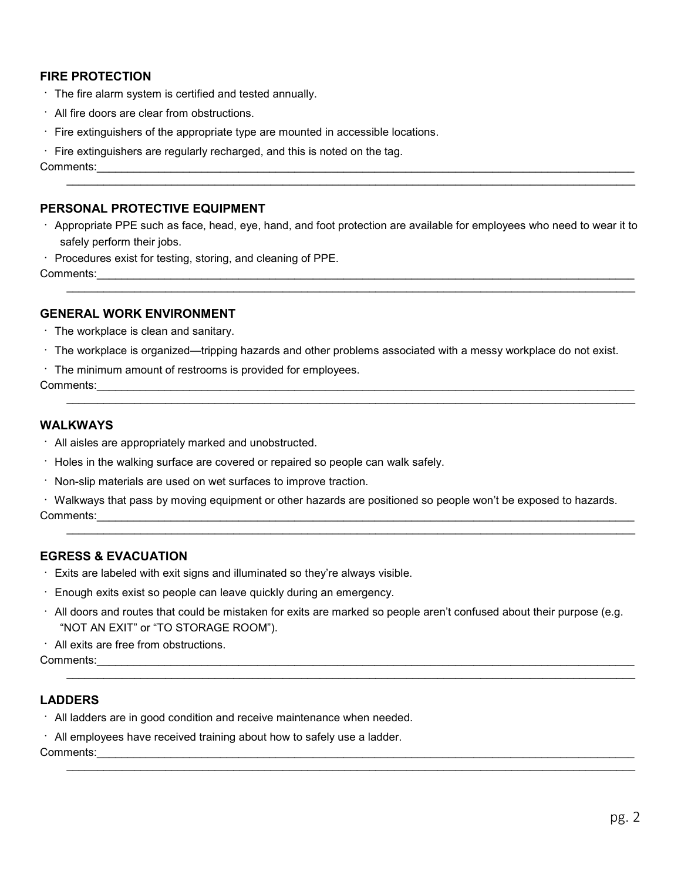# FIRE PROTECTION

- $\cdot$  The fire alarm system is certified and tested annually.
- All fire doors are clear from obstructions.
- $\cdot$  Fire extinguishers of the appropriate type are mounted in accessible locations.
- $\cdot$  Fire extinguishers are regularly recharged, and this is noted on the tag.

Comments:\_\_\_\_\_\_\_\_\_\_\_\_\_\_\_\_\_\_\_\_\_\_\_\_\_\_\_\_\_\_\_\_\_\_\_\_\_\_\_\_\_\_\_\_\_\_\_\_\_\_\_\_\_\_\_\_\_\_\_\_\_\_\_\_\_\_\_\_\_\_\_\_\_\_\_\_\_\_\_\_\_\_\_\_\_\_\_

#### PERSONAL PROTECTIVE EQUIPMENT

 Appropriate PPE such as face, head, eye, hand, and foot protection are available for employees who need to wear it to safely perform their jobs.

 $\mathcal{L}_\mathcal{L} = \{ \mathcal{L}_\mathcal{L} = \{ \mathcal{L}_\mathcal{L} = \{ \mathcal{L}_\mathcal{L} = \{ \mathcal{L}_\mathcal{L} = \{ \mathcal{L}_\mathcal{L} = \{ \mathcal{L}_\mathcal{L} = \{ \mathcal{L}_\mathcal{L} = \{ \mathcal{L}_\mathcal{L} = \{ \mathcal{L}_\mathcal{L} = \{ \mathcal{L}_\mathcal{L} = \{ \mathcal{L}_\mathcal{L} = \{ \mathcal{L}_\mathcal{L} = \{ \mathcal{L}_\mathcal{L} = \{ \mathcal{L}_\mathcal{$ 

 $\mathcal{L}_\mathcal{L} = \{ \mathcal{L}_\mathcal{L} = \{ \mathcal{L}_\mathcal{L} = \{ \mathcal{L}_\mathcal{L} = \{ \mathcal{L}_\mathcal{L} = \{ \mathcal{L}_\mathcal{L} = \{ \mathcal{L}_\mathcal{L} = \{ \mathcal{L}_\mathcal{L} = \{ \mathcal{L}_\mathcal{L} = \{ \mathcal{L}_\mathcal{L} = \{ \mathcal{L}_\mathcal{L} = \{ \mathcal{L}_\mathcal{L} = \{ \mathcal{L}_\mathcal{L} = \{ \mathcal{L}_\mathcal{L} = \{ \mathcal{L}_\mathcal{$ 

 $\cdot$  Procedures exist for testing, storing, and cleaning of PPE.

Comments:

#### GENERAL WORK ENVIRONMENT

- $\cdot$  The workplace is clean and sanitary.
- The workplace is organized—tripping hazards and other problems associated with a messy workplace do not exist.
- The minimum amount of restrooms is provided for employees.

Comments:

#### WALKWAYS

- All aisles are appropriately marked and unobstructed.
- $\cdot$  Holes in the walking surface are covered or repaired so people can walk safely.
- $\cdot$  Non-slip materials are used on wet surfaces to improve traction.
- Walkways that pass by moving equipment or other hazards are positioned so people won't be exposed to hazards. Comments:

 $\mathcal{L}_\mathcal{L} = \mathcal{L}_\mathcal{L} = \mathcal{L}_\mathcal{L} = \mathcal{L}_\mathcal{L} = \mathcal{L}_\mathcal{L} = \mathcal{L}_\mathcal{L} = \mathcal{L}_\mathcal{L} = \mathcal{L}_\mathcal{L} = \mathcal{L}_\mathcal{L} = \mathcal{L}_\mathcal{L} = \mathcal{L}_\mathcal{L} = \mathcal{L}_\mathcal{L} = \mathcal{L}_\mathcal{L} = \mathcal{L}_\mathcal{L} = \mathcal{L}_\mathcal{L} = \mathcal{L}_\mathcal{L} = \mathcal{L}_\mathcal{L}$ 

 $\mathcal{L}_\mathcal{L} = \{ \mathcal{L}_\mathcal{L} = \{ \mathcal{L}_\mathcal{L} = \{ \mathcal{L}_\mathcal{L} = \{ \mathcal{L}_\mathcal{L} = \{ \mathcal{L}_\mathcal{L} = \{ \mathcal{L}_\mathcal{L} = \{ \mathcal{L}_\mathcal{L} = \{ \mathcal{L}_\mathcal{L} = \{ \mathcal{L}_\mathcal{L} = \{ \mathcal{L}_\mathcal{L} = \{ \mathcal{L}_\mathcal{L} = \{ \mathcal{L}_\mathcal{L} = \{ \mathcal{L}_\mathcal{L} = \{ \mathcal{L}_\mathcal{$ 

#### EGRESS & EVACUATION

- Exits are labeled with exit signs and illuminated so they're always visible.
- Enough exits exist so people can leave quickly during an emergency.
- All doors and routes that could be mistaken for exits are marked so people aren't confused about their purpose (e.g. "NOT AN EXIT" or "TO STORAGE ROOM").
- All exits are free from obstructions.

Comments:

# LADDERS

- All ladders are in good condition and receive maintenance when needed.
- All employees have received training about how to safely use a ladder.

Comments: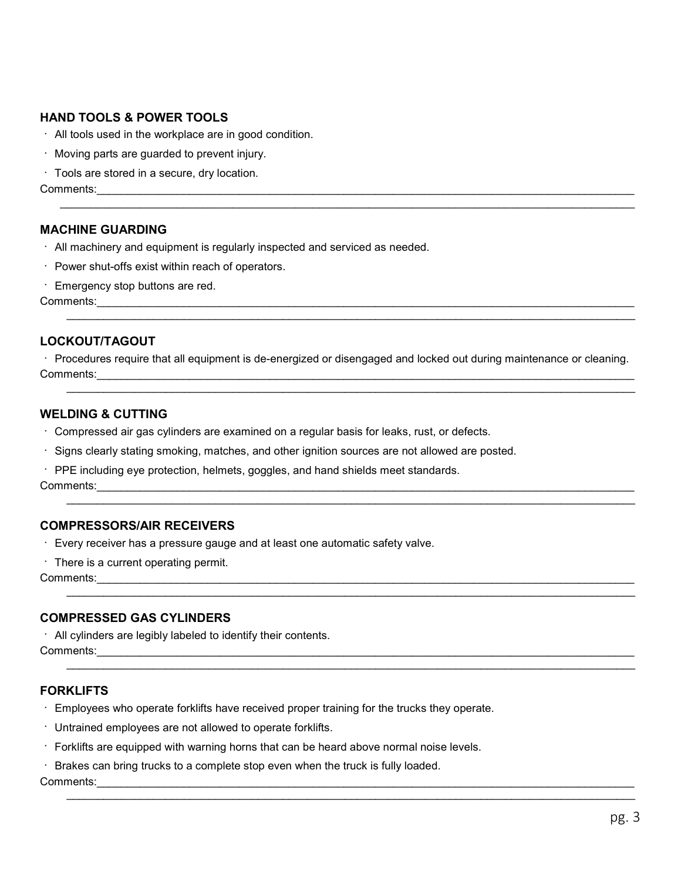# HAND TOOLS & POWER TOOLS

- All tools used in the workplace are in good condition.
- Moving parts are guarded to prevent injury.
- Tools are stored in a secure, dry location.

Comments:

#### MACHINE GUARDING

- All machinery and equipment is regularly inspected and serviced as needed.
- Power shut-offs exist within reach of operators.
- Emergency stop buttons are red.

Comments:

#### LOCKOUT/TAGOUT

 Procedures require that all equipment is de-energized or disengaged and locked out during maintenance or cleaning. Comments:

 $\mathcal{L}_\mathcal{L} = \{ \mathcal{L}_\mathcal{L} = \{ \mathcal{L}_\mathcal{L} = \{ \mathcal{L}_\mathcal{L} = \{ \mathcal{L}_\mathcal{L} = \{ \mathcal{L}_\mathcal{L} = \{ \mathcal{L}_\mathcal{L} = \{ \mathcal{L}_\mathcal{L} = \{ \mathcal{L}_\mathcal{L} = \{ \mathcal{L}_\mathcal{L} = \{ \mathcal{L}_\mathcal{L} = \{ \mathcal{L}_\mathcal{L} = \{ \mathcal{L}_\mathcal{L} = \{ \mathcal{L}_\mathcal{L} = \{ \mathcal{L}_\mathcal{$ 

 $\mathcal{L}_\mathcal{L} = \mathcal{L}_\mathcal{L} = \mathcal{L}_\mathcal{L} = \mathcal{L}_\mathcal{L} = \mathcal{L}_\mathcal{L} = \mathcal{L}_\mathcal{L} = \mathcal{L}_\mathcal{L} = \mathcal{L}_\mathcal{L} = \mathcal{L}_\mathcal{L} = \mathcal{L}_\mathcal{L} = \mathcal{L}_\mathcal{L} = \mathcal{L}_\mathcal{L} = \mathcal{L}_\mathcal{L} = \mathcal{L}_\mathcal{L} = \mathcal{L}_\mathcal{L} = \mathcal{L}_\mathcal{L} = \mathcal{L}_\mathcal{L}$ 

 $\mathcal{L}_\mathcal{L} = \{ \mathcal{L}_\mathcal{L} = \{ \mathcal{L}_\mathcal{L} = \{ \mathcal{L}_\mathcal{L} = \{ \mathcal{L}_\mathcal{L} = \{ \mathcal{L}_\mathcal{L} = \{ \mathcal{L}_\mathcal{L} = \{ \mathcal{L}_\mathcal{L} = \{ \mathcal{L}_\mathcal{L} = \{ \mathcal{L}_\mathcal{L} = \{ \mathcal{L}_\mathcal{L} = \{ \mathcal{L}_\mathcal{L} = \{ \mathcal{L}_\mathcal{L} = \{ \mathcal{L}_\mathcal{L} = \{ \mathcal{L}_\mathcal{$ 

 $\mathcal{L}_\mathcal{L} = \{ \mathcal{L}_\mathcal{L} = \{ \mathcal{L}_\mathcal{L} = \{ \mathcal{L}_\mathcal{L} = \{ \mathcal{L}_\mathcal{L} = \{ \mathcal{L}_\mathcal{L} = \{ \mathcal{L}_\mathcal{L} = \{ \mathcal{L}_\mathcal{L} = \{ \mathcal{L}_\mathcal{L} = \{ \mathcal{L}_\mathcal{L} = \{ \mathcal{L}_\mathcal{L} = \{ \mathcal{L}_\mathcal{L} = \{ \mathcal{L}_\mathcal{L} = \{ \mathcal{L}_\mathcal{L} = \{ \mathcal{L}_\mathcal{$ 

#### WELDING & CUTTING

- Compressed air gas cylinders are examined on a regular basis for leaks, rust, or defects.
- Signs clearly stating smoking, matches, and other ignition sources are not allowed are posted.
- PPE including eye protection, helmets, goggles, and hand shields meet standards.

Comments:

#### COMPRESSORS/AIR RECEIVERS

- Every receiver has a pressure gauge and at least one automatic safety valve.
- There is a current operating permit.

Comments:\_\_\_\_\_\_\_\_\_\_\_\_\_\_\_\_\_\_\_\_\_\_\_\_\_\_\_\_\_\_\_\_\_\_\_\_\_\_\_\_\_\_\_\_\_\_\_\_\_\_\_\_\_\_\_\_\_\_\_\_\_\_\_\_\_\_\_\_\_\_\_\_\_\_\_\_\_\_\_\_\_\_\_\_\_\_\_

#### COMPRESSED GAS CYLINDERS

 All cylinders are legibly labeled to identify their contents. Comments:

#### FORKLIFTS

- Employees who operate forklifts have received proper training for the trucks they operate.
- Untrained employees are not allowed to operate forklifts.
- Forklifts are equipped with warning horns that can be heard above normal noise levels.
- Brakes can bring trucks to a complete stop even when the truck is fully loaded.

Comments: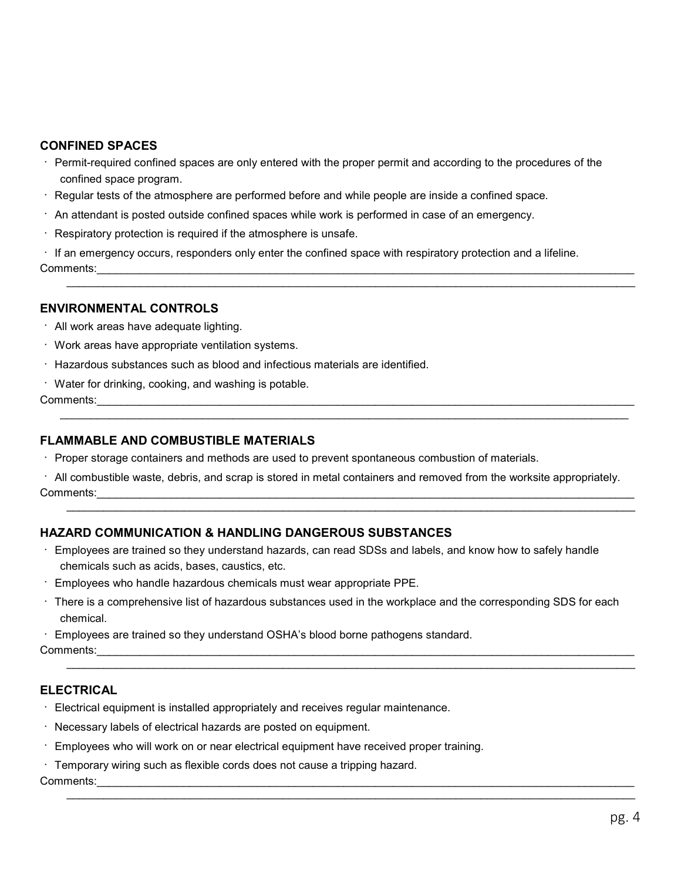#### CONFINED SPACES

- Permit-required confined spaces are only entered with the proper permit and according to the procedures of the confined space program.
- Regular tests of the atmosphere are performed before and while people are inside a confined space.
- $\cdot$  An attendant is posted outside confined spaces while work is performed in case of an emergency.
- $\cdot$  Respiratory protection is required if the atmosphere is unsafe.

 $\cdot$  If an emergency occurs, responders only enter the confined space with respiratory protection and a lifeline. Comments:

#### ENVIRONMENTAL CONTROLS

- All work areas have adequate lighting.
- Work areas have appropriate ventilation systems.
- Hazardous substances such as blood and infectious materials are identified.
- Water for drinking, cooking, and washing is potable.

Comments:

#### FLAMMABLE AND COMBUSTIBLE MATERIALS

Proper storage containers and methods are used to prevent spontaneous combustion of materials.

 All combustible waste, debris, and scrap is stored in metal containers and removed from the worksite appropriately. Comments:

 $\mathcal{L}_\mathcal{L} = \{ \mathcal{L}_\mathcal{L} = \{ \mathcal{L}_\mathcal{L} = \{ \mathcal{L}_\mathcal{L} = \{ \mathcal{L}_\mathcal{L} = \{ \mathcal{L}_\mathcal{L} = \{ \mathcal{L}_\mathcal{L} = \{ \mathcal{L}_\mathcal{L} = \{ \mathcal{L}_\mathcal{L} = \{ \mathcal{L}_\mathcal{L} = \{ \mathcal{L}_\mathcal{L} = \{ \mathcal{L}_\mathcal{L} = \{ \mathcal{L}_\mathcal{L} = \{ \mathcal{L}_\mathcal{L} = \{ \mathcal{L}_\mathcal{$ 

#### HAZARD COMMUNICATION & HANDLING DANGEROUS SUBSTANCES

- Employees are trained so they understand hazards, can read SDSs and labels, and know how to safely handle chemicals such as acids, bases, caustics, etc.
- Employees who handle hazardous chemicals must wear appropriate PPE.
- There is a comprehensive list of hazardous substances used in the workplace and the corresponding SDS for each chemical.

 $\mathcal{L}_\mathcal{L} = \mathcal{L}_\mathcal{L} = \mathcal{L}_\mathcal{L} = \mathcal{L}_\mathcal{L} = \mathcal{L}_\mathcal{L} = \mathcal{L}_\mathcal{L} = \mathcal{L}_\mathcal{L} = \mathcal{L}_\mathcal{L} = \mathcal{L}_\mathcal{L} = \mathcal{L}_\mathcal{L} = \mathcal{L}_\mathcal{L} = \mathcal{L}_\mathcal{L} = \mathcal{L}_\mathcal{L} = \mathcal{L}_\mathcal{L} = \mathcal{L}_\mathcal{L} = \mathcal{L}_\mathcal{L} = \mathcal{L}_\mathcal{L}$ 

 $\mathcal{L}_\mathcal{L} = \{ \mathcal{L}_\mathcal{L} = \{ \mathcal{L}_\mathcal{L} = \{ \mathcal{L}_\mathcal{L} = \{ \mathcal{L}_\mathcal{L} = \{ \mathcal{L}_\mathcal{L} = \{ \mathcal{L}_\mathcal{L} = \{ \mathcal{L}_\mathcal{L} = \{ \mathcal{L}_\mathcal{L} = \{ \mathcal{L}_\mathcal{L} = \{ \mathcal{L}_\mathcal{L} = \{ \mathcal{L}_\mathcal{L} = \{ \mathcal{L}_\mathcal{L} = \{ \mathcal{L}_\mathcal{L} = \{ \mathcal{L}_\mathcal{$ 

Employees are trained so they understand OSHA's blood borne pathogens standard.

Comments:

#### ELECTRICAL

- $\cdot$  Electrical equipment is installed appropriately and receives regular maintenance.
- Necessary labels of electrical hazards are posted on equipment.
- Employees who will work on or near electrical equipment have received proper training.
- Temporary wiring such as flexible cords does not cause a tripping hazard.

Comments:\_\_\_\_\_\_\_\_\_\_\_\_\_\_\_\_\_\_\_\_\_\_\_\_\_\_\_\_\_\_\_\_\_\_\_\_\_\_\_\_\_\_\_\_\_\_\_\_\_\_\_\_\_\_\_\_\_\_\_\_\_\_\_\_\_\_\_\_\_\_\_\_\_\_\_\_\_\_\_\_\_\_\_\_\_\_\_